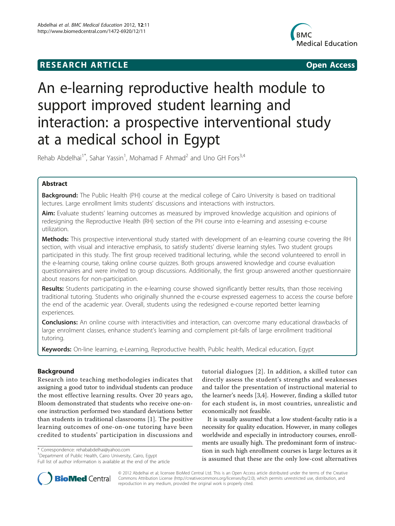## **RESEARCH ARTICLE Example 2018 12:00 Open Access**



# An e-learning reproductive health module to support improved student learning and interaction: a prospective interventional study at a medical school in Egypt

Rehab Abdelhai<sup>1\*</sup>, Sahar Yassin<sup>1</sup>, Mohamad F Ahmad<sup>2</sup> and Uno GH Fors<sup>3,4</sup>

## Abstract

**Background:** The Public Health (PH) course at the medical college of Cairo University is based on traditional lectures. Large enrollment limits students' discussions and interactions with instructors.

Aim: Evaluate students' learning outcomes as measured by improved knowledge acquisition and opinions of redesigning the Reproductive Health (RH) section of the PH course into e-learning and assessing e-course utilization.

Methods: This prospective interventional study started with development of an e-learning course covering the RH section, with visual and interactive emphasis, to satisfy students' diverse learning styles. Two student groups participated in this study. The first group received traditional lecturing, while the second volunteered to enroll in the e-learning course, taking online course quizzes. Both groups answered knowledge and course evaluation questionnaires and were invited to group discussions. Additionally, the first group answered another questionnaire about reasons for non-participation.

Results: Students participating in the e-learning course showed significantly better results, than those receiving traditional tutoring. Students who originally shunned the e-course expressed eagerness to access the course before the end of the academic year. Overall, students using the redesigned e-course reported better learning experiences.

**Conclusions:** An online course with interactivities and interaction, can overcome many educational drawbacks of large enrolment classes, enhance student's learning and complement pit-falls of large enrollment traditional tutoring.

Keywords: On-line learning, e-Learning, Reproductive health, Public health, Medical education, Egypt

## Background

Research into teaching methodologies indicates that assigning a good tutor to individual students can produce the most effective learning results. Over 20 years ago, Bloom demonstrated that students who receive one-onone instruction performed two standard deviations better than students in traditional classrooms [[1\]](#page-7-0). The positive learning outcomes of one-on-one tutoring have been credited to students' participation in discussions and

\* Correspondence: [rehababdelhai@yahoo.com](mailto:rehababdelhai@yahoo.com)

<sup>1</sup>Department of Public Health, Cairo University, Cairo, Egypt

tutorial dialogues [[2](#page-7-0)]. In addition, a skilled tutor can directly assess the student's strengths and weaknesses and tailor the presentation of instructional material to the learner's needs [[3](#page-7-0),[4\]](#page-7-0). However, finding a skilled tutor for each student is, in most countries, unrealistic and economically not feasible.

It is usually assumed that a low student-faculty ratio is a necessity for quality education. However, in many colleges worldwide and especially in introductory courses, enrollments are usually high. The predominant form of instruction in such high enrollment courses is large lectures as it is assumed that these are the only low-cost alternatives



© 2012 Abdelhai et al; licensee BioMed Central Ltd. This is an Open Access article distributed under the terms of the Creative Commons Attribution License [\(http://creativecommons.org/licenses/by/2.0](http://creativecommons.org/licenses/by/2.0)), which permits unrestricted use, distribution, and reproduction in any medium, provided the original work is properly cited.

Full list of author information is available at the end of the article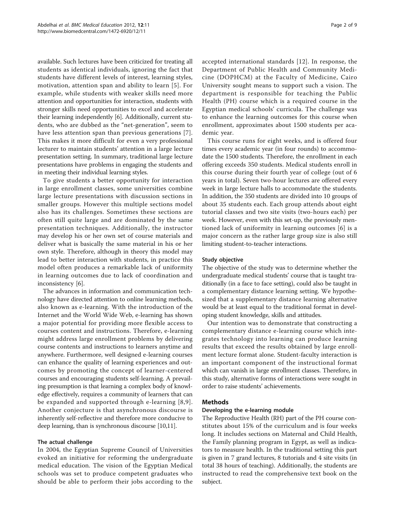available. Such lectures have been criticized for treating all students as identical individuals, ignoring the fact that students have different levels of interest, learning styles, motivation, attention span and ability to learn [[5](#page-7-0)]. For example, while students with weaker skills need more attention and opportunities for interaction, students with stronger skills need opportunities to excel and accelerate their learning independently [\[6\]](#page-7-0). Additionally, current students, who are dubbed as the "net-generation", seem to have less attention span than previous generations [[7\]](#page-7-0). This makes it more difficult for even a very professional lecturer to maintain students' attention in a large lecture presentation setting. In summary, traditional large lecture presentations have problems in engaging the students and in meeting their individual learning styles.

To give students a better opportunity for interaction in large enrollment classes, some universities combine large lecture presentations with discussion sections in smaller groups. However this multiple sections model also has its challenges. Sometimes these sections are often still quite large and are dominated by the same presentation techniques. Additionally, the instructor may develop his or her own set of course materials and deliver what is basically the same material in his or her own style. Therefore, although in theory this model may lead to better interaction with students, in practice this model often produces a remarkable lack of uniformity in learning outcomes due to lack of coordination and inconsistency [[6](#page-7-0)].

The advances in information and communication technology have directed attention to online learning methods, also known as e-learning. With the introduction of the Internet and the World Wide Web, e-learning has shown a major potential for providing more flexible access to courses content and instructions. Therefore, e-learning might address large enrollment problems by delivering course contents and instructions to learners anytime and anywhere. Furthermore, well designed e-learning courses can enhance the quality of learning experiences and outcomes by promoting the concept of learner-centered courses and encouraging students self-learning. A prevailing presumption is that learning a complex body of knowledge effectively, requires a community of learners that can be expanded and supported through e-learning [[8](#page-7-0),[9\]](#page-7-0). Another conjecture is that asynchronous discourse is inherently self-reflective and therefore more conducive to deep learning, than is synchronous discourse [[10,11\]](#page-7-0).

## The actual challenge

In 2004, the Egyptian Supreme Council of Universities evoked an initiative for reforming the undergraduate medical education. The vision of the Egyptian Medical schools was set to produce competent graduates who should be able to perform their jobs according to the accepted international standards [[12\]](#page-7-0). In response, the Department of Public Health and Community Medicine (DOPHCM) at the Faculty of Medicine, Cairo University sought means to support such a vision. The department is responsible for teaching the Public Health (PH) course which is a required course in the Egyptian medical schools' curricula. The challenge was to enhance the learning outcomes for this course when enrollment, approximates about 1500 students per academic year.

This course runs for eight weeks, and is offered four times every academic year (in four rounds) to accommodate the 1500 students. Therefore, the enrollment in each offering exceeds 350 students. Medical students enroll in this course during their fourth year of college (out of 6 years in total). Seven two-hour lectures are offered every week in large lecture halls to accommodate the students. In addition, the 350 students are divided into 10 groups of about 35 students each. Each group attends about eight tutorial classes and two site visits (two-hours each) per week. However, even with this set-up, the previously mentioned lack of uniformity in learning outcomes [[6\]](#page-7-0) is a major concern as the rather large group size is also still limiting student-to-teacher interactions.

#### Study objective

The objective of the study was to determine whether the undergraduate medical students' course that is taught traditionally (in a face to face setting), could also be taught in a complementary distance learning setting. We hypothesized that a supplementary distance learning alternative would be at least equal to the traditional format in developing student knowledge, skills and attitudes.

Our intention was to demonstrate that constructing a complementary distance e-learning course which integrates technology into learning can produce learning results that exceed the results obtained by large enrollment lecture format alone. Student-faculty interaction is an important component of the instructional format which can vanish in large enrollment classes. Therefore, in this study, alternative forms of interactions were sought in order to raise students' achievements.

## Methods

## Developing the e-learning module

The Reproductive Health (RH) part of the PH course constitutes about 15% of the curriculum and is four weeks long. It includes sections on Maternal and Child Health, the Family planning program in Egypt, as well as indicators to measure health. In the traditional setting this part is given in 7 grand lectures, 8 tutorials and 4 site visits (in total 38 hours of teaching). Additionally, the students are instructed to read the comprehensive text book on the subject.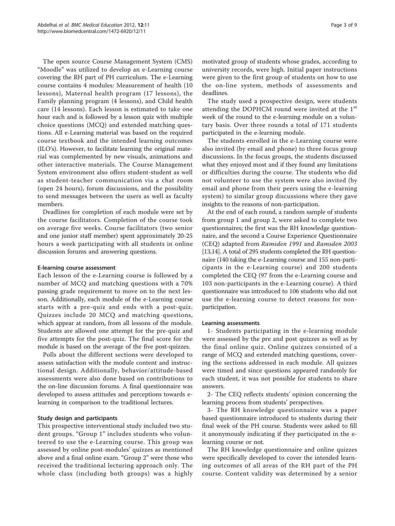The open source Course Management System (CMS) "Moodle" was utilized to develop an e-Learning course covering the RH part of PH curriculum. The e-Learning course contains 4 modules: Measurement of health (10 lessons), Maternal health program (17 lessons), the Family planning program (4 lessons), and Child health care (14 lessons). Each lesson is estimated to take one hour each and is followed by a lesson quiz with multiple choice questions (MCQ) and extended matching questions. All e-Learning material was based on the required course textbook and the intended learning outcomes (ILO's). However, to facilitate learning the original material was complemented by new visuals, animations and other interactive materials. The Course Management System environment also offers student-student as well as student-teacher communication via a chat room (open 24 hours), forum discussions, and the possibility to send messages between the users as well as faculty members.

Deadlines for completion of each module were set by the course facilitators. Completion of the course took on average five weeks. Course facilitators (two senior and one junior staff member) spent approximately 20-25 hours a week participating with all students in online discussion forums and answering questions.

#### E-learning course assessment

Each lesson of the e-Learning course is followed by a number of MCQ and matching questions with a 70% passing grade requirement to move on to the next lesson. Additionally, each module of the e-Learning course starts with a pre-quiz and ends with a post-quiz. Quizzes include 20 MCQ and matching questions, which appear at random, from all lessons of the module. Students are allowed one attempt for the pre-quiz and five attempts for the post-quiz. The final score for the module is based on the average of the five post-quizzes.

Polls about the different sections were developed to assess satisfaction with the module content and instructional design. Additionally, behavior/attitude-based assessments were also done based on contributions to the on-line discussion forums. A final questionnaire was developed to assess attitudes and perceptions towards elearning in comparison to the traditional lectures.

#### Study design and participants

This prospective interventional study included two student groups. "Group 1" includes students who volunteered to use the e-Learning course. This group was assessed by online post-modules' quizzes as mentioned above and a final online exam. "Group 2" were those who received the traditional lecturing approach only. The whole class (including both groups) was a highly motivated group of students whose grades, according to university records, were high. Initial paper instructions were given to the first group of students on how to use the on-line system, methods of assessments and deadlines.

The study used a prospective design, were students attending the DOPHCM round were invited at the 1<sup>st</sup> week of the round to the e-learning module on a voluntary basis. Over three rounds a total of 171 students participated in the e-learning module.

The students enrolled in the e-Learning course were also invited (by email and phone) to three focus group discussions. In the focus groups, the students discussed what they enjoyed most and if they found any limitations or difficulties during the course. The students who did not volunteer to use the system were also invited (by email and phone from their peers using the e-learning system) to similar group discussions where they gave insights to the reasons of non-participation.

At the end of each round, a random sample of students from group 1 and group 2, were asked to complete two questionnaires; the first was the RH knowledge questionnaire, and the second a Course Experience Questionnaire (CEQ) adapted from Ramsden 1991 and Ramsden 2003 [[13,14\]](#page-7-0). A total of 295 students completed the RH questionnaire (140 taking the e-Learning course and 155 non-participants in the e-Learning course) and 200 students completed the CEQ (97 from the e-Learning course and 103 non-participants in the e-Learning course). A third questionnaire was introduced to 106 students who did not use the e-learning course to detect reasons for nonparticipation.

#### Learning assessments

1- Students participating in the e-learning module were assessed by the pre and post quizzes as well as by the final online quiz. Online quizzes consisted of a range of MCQ and extended matching questions, covering the sections addressed in each module. All quizzes were timed and since questions appeared randomly for each student, it was not possible for students to share answers.

2- The CEQ reflects students' opinion concerning the learning process from students' perspectives.

3- The RH knowledge questionnaire was a paper based questionnaire introduced to students during their final week of the PH course. Students were asked to fill it anonymously indicating if they participated in the elearning course or not.

The RH knowledge questionnaire and online quizzes were specifically developed to cover the intended learning outcomes of all areas of the RH part of the PH course. Content validity was determined by a senior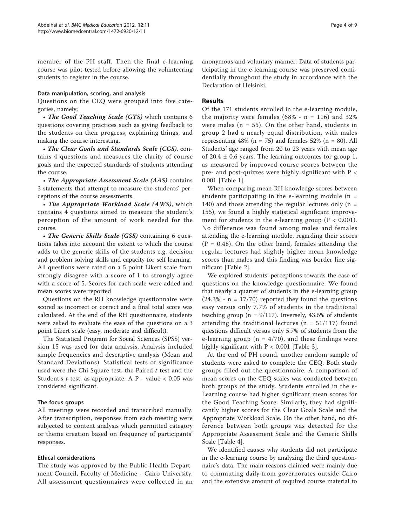member of the PH staff. Then the final e-learning course was pilot-tested before allowing the volunteering students to register in the course.

### Data manipulation, scoring, and analysis

Questions on the CEQ were grouped into five categories, namely;

• The Good Teaching Scale (GTS) which contains 6 questions covering practices such as giving feedback to the students on their progress, explaining things, and making the course interesting.

• The Clear Goals and Standards Scale (CGS), contains 4 questions and measures the clarity of course goals and the expected standards of students attending the course.

• The Appropriate Assessment Scale (AAS) contains 3 statements that attempt to measure the students' perceptions of the course assessments.

• The Appropriate Workload Scale (AWS), which contains 4 questions aimed to measure the student's perception of the amount of work needed for the course.

• The Generic Skills Scale (GSS) containing 6 questions takes into account the extent to which the course adds to the generic skills of the students e.g. decision and problem solving skills and capacity for self learning. All questions were rated on a 5 point Likert scale from strongly disagree with a score of 1 to strongly agree with a score of 5. Scores for each scale were added and mean scores were reported

Questions on the RH knowledge questionnaire were scored as incorrect or correct and a final total score was calculated. At the end of the RH questionnaire, students were asked to evaluate the ease of the questions on a 3 point Likert scale (easy, moderate and difficult).

The Statistical Program for Social Sciences (SPSS) version 15 was used for data analysis. Analysis included simple frequencies and descriptive analysis (Mean and Standard Deviations). Statistical tests of significance used were the Chi Square test, the Paired t-test and the Student's t-test, as appropriate. A P - value < 0.05 was considered significant.

## The focus groups

All meetings were recorded and transcribed manually. After transcription, responses from each meeting were subjected to content analysis which permitted category or theme creation based on frequency of participants' responses.

## Ethical considerations

The study was approved by the Public Health Department Council, Faculty of Medicine - Cairo University. All assessment questionnaires were collected in an anonymous and voluntary manner. Data of students participating in the e-learning course was preserved confidentially throughout the study in accordance with the Declaration of Helsinki.

## Results

Of the 171 students enrolled in the e-learning module, the majority were females  $(68\% - n = 116)$  and 32% were males ( $n = 55$ ). On the other hand, students in group 2 had a nearly equal distribution, with males representing 48% ( $n = 75$ ) and females 52% ( $n = 80$ ). All Students' age ranged from 20 to 23 years with mean age of  $20.4 \pm 0.6$  years. The learning outcomes for group 1, as measured by improved course scores between the pre- and post-quizzes were highly significant with P < 0.001 [Table [1\]](#page-4-0).

When comparing mean RH knowledge scores between students participating in the e-learning module  $(n =$ 140) and those attending the regular lectures only ( $n =$ 155), we found a highly statistical significant improvement for students in the e-learning group ( $P < 0.001$ ). No difference was found among males and females attending the e-learning module, regarding their scores  $(P = 0.48)$ . On the other hand, females attending the regular lectures had slightly higher mean knowledge scores than males and this finding was border line significant [Table [2\]](#page-4-0).

We explored students' perceptions towards the ease of questions on the knowledge questionnaire. We found that nearly a quarter of students in the e-learning group  $(24.3\% \cdot n = 17/70)$  reported they found the questions easy versus only 7.7% of students in the traditional teaching group ( $n = 9/117$ ). Inversely, 43.6% of students attending the traditional lectures ( $n = 51/117$ ) found questions difficult versus only 5.7% of students from the e-learning group ( $n = 4/70$ ), and these findings were highly significant with P < 0.001 [Table [3\]](#page-5-0).

At the end of PH round, another random sample of students were asked to complete the CEQ. Both study groups filled out the questionnaire. A comparison of mean scores on the CEQ scales was conducted between both groups of the study. Students enrolled in the e-Learning course had higher significant mean scores for the Good Teaching Score. Similarly, they had significantly higher scores for the Clear Goals Scale and the Appropriate Workload Scale. On the other hand, no difference between both groups was detected for the Appropriate Assessment Scale and the Generic Skills Scale [Table [4\]](#page-5-0).

We identified causes why students did not participate in the e-learning course by analyzing the third questionnaire's data. The main reasons claimed were mainly due to commuting daily from governorates outside Cairo and the extensive amount of required course material to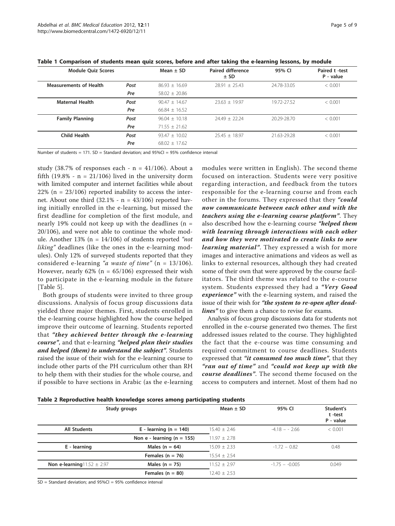| Page 5 | Ωt | 9 |
|--------|----|---|
|        |    |   |

| <b>Module Quiz Scores</b>     |      | Mean $\pm$ SD     | Paired difference<br>$±$ SD | 95% CI      | Paired t -test<br>P - value |
|-------------------------------|------|-------------------|-----------------------------|-------------|-----------------------------|
| <b>Measurements of Health</b> | Post | $86.93 + 16.69$   | $28.91 + 25.43$             | 24.78-33.05 | < 0.001                     |
|                               | Pre  | $58.02 + 20.86$   |                             |             |                             |
| <b>Maternal Health</b>        | Post | $90.47 \pm 14.67$ | $23.63 + 19.97$             | 19.72-27.52 | < 0.001                     |
|                               | Pre  | $66.84 + 16.52$   |                             |             |                             |
| <b>Family Planning</b>        | Post | $96.04 + 10.18$   | $7449 + 7774$               | 20.29-28.70 | < 0.001                     |
|                               | Pre  | $71.55 + 21.62$   |                             |             |                             |
| <b>Child Health</b>           | Post | $93.47 + 10.02$   | $25.45 + 18.97$             | 21.63-29.28 | < 0.001                     |
|                               | Pre  | $68.02 + 17.62$   |                             |             |                             |

<span id="page-4-0"></span>Table 1 Comparison of students mean quiz scores, before and after taking the e-learning lessons, by module

Number of students = 171.  $SD =$  Standard deviation: and 95%CI = 95% confidence interval

study (38.7% of responses each -  $n = 41/106$ ). About a fifth (19.8% -  $n = 21/106$ ) lived in the university dorm with limited computer and internet facilities while about  $22\%$  (n = 23/106) reported inability to access the internet. About one third  $(32.1\% - n = 43/106)$  reported having initially enrolled in the e-learning, but missed the first deadline for completion of the first module, and nearly 19% could not keep up with the deadlines ( $n =$ 20/106), and were not able to continue the whole module. Another 13% ( $n = 14/106$ ) of students reported "not liking" deadlines (like the ones in the e-learning modules). Only 12% of surveyed students reported that they considered e-learning "a waste of time"  $(n = 13/106)$ . However, nearly 62% ( $n = 65/106$ ) expressed their wish to participate in the e-learning module in the future [Table [5\]](#page-6-0).

Both groups of students were invited to three group discussions. Analysis of focus group discussions data yielded three major themes. First, students enrolled in the e-learning course highlighted how the course helped improve their outcome of learning. Students reported that "they achieved better through the e-learning course", and that e-learning "helped plan their studies and helped (them) to understand the subject". Students raised the issue of their wish for the e-learning course to include other parts of the PH curriculum other than RH to help them with their studies for the whole course, and if possible to have sections in Arabic (as the e-learning

modules were written in English). The second theme focused on interaction. Students were very positive regarding interaction, and feedback from the tutors responsible for the e-learning course and from each other in the forums. They expressed that they "could now communicate between each other and with the teachers using the e-learning course platform". They also described how the e-learning course "helped them with learning through interactions with each other and how they were motivated to create links to new learning material". They expressed a wish for more images and interactive animations and videos as well as links to external resources, although they had created some of their own that were approved by the course facilitators. The third theme was related to the e-course system. Students expressed they had a "Very Good experience" with the e-learning system, and raised the issue of their wish for "the system to re-open after deadlines" to give them a chance to revise for exams.

Analysis of focus group discussions data for students not enrolled in the e-course generated two themes. The first addressed issues related to the course. They highlighted the fact that the e-course was time consuming and required commitment to course deadlines. Students expressed that "it consumed too much time", that they "ran out of time" and "could not keep up with the course deadlines". The second theme focused on the access to computers and internet. Most of them had no

|  | Table 2 Reproductive health knowledge scores among participating students |  |  |
|--|---------------------------------------------------------------------------|--|--|
|--|---------------------------------------------------------------------------|--|--|

|                                        | Study groups                  |                  | 95% CI          | Student's<br>t -test<br>P - value |  |
|----------------------------------------|-------------------------------|------------------|-----------------|-----------------------------------|--|
| <b>All Students</b>                    | $E -$ learning (n = 140)      | $15.40 + 2.46$   | $-418 - -266$   | < 0.001                           |  |
|                                        | Non e - learning (n = $155$ ) | $11.97 \pm 2.78$ |                 |                                   |  |
| E - learning                           | Males $(n = 64)$              | $15.09 + 2.33$   | $-1.72 - 0.82$  | 0.48                              |  |
|                                        | Females ( $n = 76$ )          | $15.54 + 2.54$   |                 |                                   |  |
| <b>Non e-learning</b> 11.52 $\pm$ 2.97 | Males $(n = 75)$              | $11.52 + 2.97$   | $-1.75 - 0.005$ | 0.049                             |  |
|                                        | Females $(n = 80)$            | $12.40 + 2.53$   |                 |                                   |  |

 $SD = Standard deviation:$  and  $95\%CI = 95\%$  confidence interval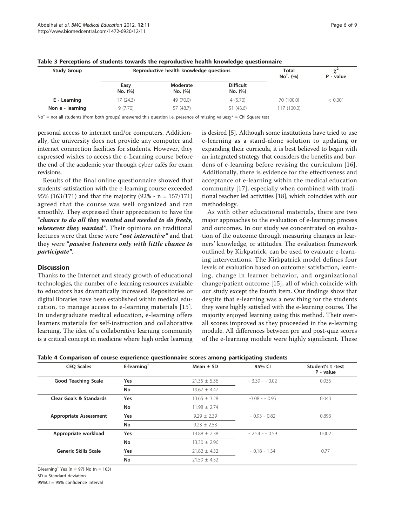| <b>Study Group</b> |                 | Reproductive health knowledge questions<br><b>Total</b><br>$No†$ . (%) |                             |             | $\mathbf{v}^2$<br>P - value |
|--------------------|-----------------|------------------------------------------------------------------------|-----------------------------|-------------|-----------------------------|
|                    | Easy<br>No. (%) | Moderate<br>No. (%)                                                    | <b>Difficult</b><br>No. (%) |             |                             |
| E - Learning       | 17(24.3)        | 49 (70.0)                                                              | 4(5.70)                     | 70 (100.0)  | < 0.001                     |
| Non e - learning   | 9(7.70)         | 57 (48.7)                                                              | 51(43.6)                    | 117 (100.0) |                             |

<span id="page-5-0"></span>Table 3 Perceptions of students towards the reproductive health knowledge questionnaire

No<sup>†</sup> = not all students (from both groups) answered this question i.e. presence of missing values $\chi^2$  = Chi Square test

personal access to internet and/or computers. Additionally, the university does not provide any computer and internet connection facilities for students. However, they expressed wishes to access the e-Learning course before the end of the academic year through cyber cafés for exam revisions.

Results of the final online questionnaire showed that students' satisfaction with the e-learning course exceeded 95% (163/171) and that the majority (92% - n = 157/171) agreed that the course was well organized and ran smoothly. They expressed their appreciation to have the "chance to do all they wanted and needed to do freely, whenever they wanted". Their opinions on traditional lectures were that these were "**not interactive**" and that they were "passive listeners only with little chance to participate".

## **Discussion**

Thanks to the Internet and steady growth of educational technologies, the number of e-learning resources available to educators has dramatically increased. Repositories or digital libraries have been established within medical education, to manage access to e-learning materials [[15\]](#page-7-0). In undergraduate medical education, e-learning offers learners materials for self-instruction and collaborative learning. The idea of a collaborative learning community is a critical concept in medicine where high order learning

is desired [\[5\]](#page-7-0). Although some institutions have tried to use e-learning as a stand-alone solution to updating or expanding their curricula, it is best believed to begin with an integrated strategy that considers the benefits and burdens of e-learning before revising the curriculum [[16](#page-7-0)]. Additionally, there is evidence for the effectiveness and acceptance of e-learning within the medical education community [[17\]](#page-7-0), especially when combined with traditional teacher led activities [[18\]](#page-7-0), which coincides with our methodology.

As with other educational materials, there are two major approaches to the evaluation of e-learning: process and outcomes. In our study we concentrated on evaluation of the outcome through measuring changes in learners' knowledge, or attitudes. The evaluation framework outlined by Kirkpatrick, can be used to evaluate e-learning interventions. The Kirkpatrick model defines four levels of evaluation based on outcome: satisfaction, learning, change in learner behavior, and organizational change/patient outcome [\[15](#page-7-0)], all of which coincide with our study except the fourth item. Our findings show that despite that e-learning was a new thing for the students they were highly satisfied with the e-learning course. The majority enjoyed learning using this method. Their overall scores improved as they proceeded in the e-learning module. All differences between pre and post-quiz scores of the e-learning module were highly significant. These

|  | Table 4 Comparison of course experience questionnaire scores among participating students |
|--|-------------------------------------------------------------------------------------------|
|  |                                                                                           |

|                               | . .                        | - -              |                |                                |
|-------------------------------|----------------------------|------------------|----------------|--------------------------------|
| <b>CEQ Scales</b>             | $E$ -learning <sup>†</sup> | Mean $\pm$ SD    | 95% CI         | Student's t -test<br>P - value |
| <b>Good Teaching Scale</b>    | Yes                        | $21.35 \pm 5.36$ | $-3.39 - 0.02$ | 0.035                          |
|                               | No                         | $19.67 \pm 4.47$ |                |                                |
| Clear Goals & Standards       | <b>Yes</b>                 | $13.65 \pm 3.28$ | $-3.08 - 0.95$ | 0.043                          |
|                               | <b>No</b>                  | $11.98 \pm 2.74$ |                |                                |
| <b>Appropriate Assessment</b> | <b>Yes</b>                 | $9.29 + 2.39$    | $-0.93 - 0.82$ | 0.893                          |
|                               | No                         | $9.23 \pm 2.53$  |                |                                |
| Appropriate workload          | <b>Yes</b>                 | $14.88 \pm 2.38$ | $-2.54 - 0.59$ | 0.002                          |
|                               | No                         | $13.30 \pm 2.96$ |                |                                |
| <b>Generic Skills Scale</b>   | Yes                        | $21.82 \pm 4.32$ | $-0.18 - 1.34$ | 0.77                           |
|                               | No                         | $21.59 \pm 4.52$ |                |                                |

E-learning<sup>†</sup> Yes (n = 97) No (n = 103)

SD = Standard deviation

 $95\%$ CI =  $95\%$  confidence interval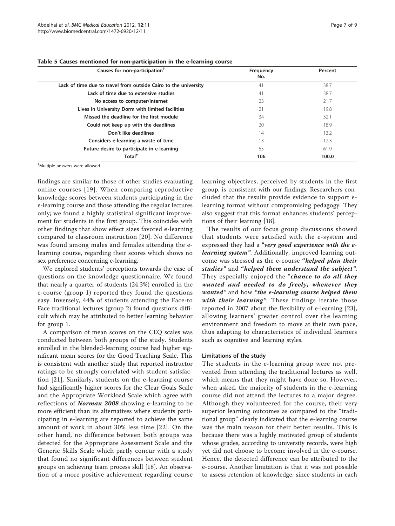| Causes for non-participation <sup>†</sup>                       | Frequency<br>No. | Percent |
|-----------------------------------------------------------------|------------------|---------|
| Lack of time due to travel from outside Cairo to the university | 41               | 38.7    |
| Lack of time due to extensive studies                           | 41               | 38.7    |
| No access to computer/internet                                  | 23               | 21.7    |
| Lives in University Dorm with limited facilities                | 21               | 19.8    |
| Missed the deadline for the first module                        | 34               | 32.1    |
| Could not keep up with the deadlines                            | 20               | 18.9    |
| Don't like deadlines                                            | 14               | 13.2    |
| Considers e-learning a waste of time                            | 13               | 12.3    |
| Future desire to participate in e-learning                      | 65               | 61.9    |
| Total <sup>T</sup>                                              | 106              | 100.0   |

#### <span id="page-6-0"></span>Table 5 Causes mentioned for non-participation in the e-learning course

† Multiple answers were allowed

findings are similar to those of other studies evaluating online courses [[19\]](#page-7-0). When comparing reproductive knowledge scores between students participating in the e-learning course and those attending the regular lectures only; we found a highly statistical significant improvement for students in the first group. This coincides with other findings that show effect sizes favored e-learning compared to classroom instruction [[20\]](#page-7-0). No difference was found among males and females attending the elearning course, regarding their scores which shows no sex preference concerning e-learning.

We explored students' perceptions towards the ease of questions on the knowledge questionnaire. We found that nearly a quarter of students (24.3%) enrolled in the e-course (group 1) reported they found the questions easy. Inversely, 44% of students attending the Face-to Face traditional lectures (group 2) found questions difficult which may be attributed to better learning behavior for group 1.

A comparison of mean scores on the CEQ scales was conducted between both groups of the study. Students enrolled in the blended-learning course had higher significant mean scores for the Good Teaching Scale. This is consistent with another study that reported instructor ratings to be strongly correlated with student satisfaction [[21](#page-8-0)]. Similarly, students on the e-learning course had significantly higher scores for the Clear Goals Scale and the Appropriate Workload Scale which agree with reflections of Norman 2008 showing e-learning to be more efficient than its alternatives where students participating in e-learning are reported to achieve the same amount of work in about 30% less time [[22](#page-8-0)]. On the other hand, no difference between both groups was detected for the Appropriate Assessment Scale and the Generic Skills Scale which partly concur with a study that found no significant differences between student groups on achieving team process skill [\[18\]](#page-7-0). An observation of a more positive achievement regarding course learning objectives, perceived by students in the first group, is consistent with our findings. Researchers concluded that the results provide evidence to support elearning format without compromising pedagogy. They also suggest that this format enhances students' perceptions of their learning [[18](#page-7-0)].

The results of our focus group discussions showed that students were satisfied with the e-system and expressed they had a "very good experience with the elearning system". Additionally, improved learning outcome was stressed as the e-course "helped plan their studies" and "helped them understand the subject". They especially enjoyed the "chance to do all they wanted and needed to do freely, whenever they wanted" and how "the e-learning course helped them with their learning". These findings iterate those reported in 2007 about the flexibility of e-learning [\[23](#page-8-0)], allowing learners' greater control over the learning environment and freedom to move at their own pace, thus adapting to characteristics of individual learners such as cognitive and learning styles.

#### Limitations of the study

The students in the e-learning group were not prevented from attending the traditional lectures as well, which means that they might have done so. However, when asked, the majority of students in the e-learning course did not attend the lectures to a major degree. Although they volunteered for the course, their very superior learning outcomes as compared to the "traditional group" clearly indicated that the e-learning course was the main reason for their better results. This is because there was a highly motivated group of students whose grades, according to university records, were high yet did not choose to become involved in the e-course. Hence, the detected difference can be attributed to the e-course. Another limitation is that it was not possible to assess retention of knowledge, since students in each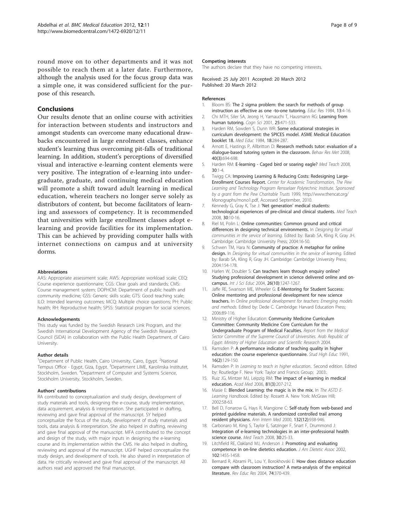<span id="page-7-0"></span>round move on to other departments and it was not possible to reach them at a later date. Furthermore, although the analysis used for the focus group data was a simple one, it was considered sufficient for the purpose of this research.

## Conclusions

Our results denote that an online course with activities for interaction between students and instructors and amongst students can overcome many educational drawbacks encountered in large enrolment classes, enhance student's learning thus overcoming pit-falls of traditional learning. In addition, student's perceptions of diversified visual and interactive e-learning content elements were very positive. The integration of e-learning into undergraduate, graduate, and continuing medical education will promote a shift toward adult learning in medical education, wherein teachers no longer serve solely as distributors of content, but become facilitators of learning and assessors of competency. It is recommended that universities with large enrollment classes adopt elearning and provide facilities for its implementation. This can be achieved by providing computer halls with internet connections on campus and at university dorms.

#### Abbreviations

AAS: Appropriate assessment scale; AWS: Appropriate workload scale; CEQ: Course experience questionnaire; CGS: Clear goals and standards; CMS: Course management system; DOPHCM: Department of public health and community medicine; GSS: Generic skills scale; GTS: Good teaching scale; ILO: Intended learning outcomes; MCQ: Multiple choice questions; PH: Public health; RH: Reproductive health; SPSS: Statistical program for social sciences.

#### Acknowledgements

This study was funded by the Swedish Research Link Program, and the Swedish International Development Agency of the Swedish Research Council (SIDA) in collaboration with the Public Health Department, of Cairo University.

#### Author details

<sup>1</sup>Department of Public Health, Cairo University, Cairo, Egypt. <sup>2</sup>National Tempus Office - Egypt, Giza, Egypt. <sup>3</sup>Department LIME, Karolinska Institutet, Stockholm, Sweden. <sup>4</sup>Department of Computer and Systems Science, Stockholm University, Stockholm, Sweden.

#### Authors' contributions

RA contributed to conceptualization and study design, development of study materials and tools, designing the e-course, study implementation, data acquirement, analysis & interpretation. She participated in drafting, reviewing and gave final approval of the manuscript. SY helped conceptualize the focus of the study, development of study materials and tools, data analysis & interpretation. She also helped in drafting, reviewing and gave final approval of the manuscript. MFA contributed to the concept and design of the study, with major inputs in designing the e-learning course and its implementation within the CMS. He also helped in drafting, reviewing and approval of the manuscript. UGHF helped conceptualize the study design, and development of tools. He also shared in interpretation of data. He critically reviewed and gave final approval of the manuscript. All authors read and approved the final manuscript.

#### Page 8 of 9

#### Competing interests

The authors declare that they have no competing interests.

Received: 25 July 2011 Accepted: 20 March 2012 Published: 20 March 2012

#### References

- 1. Bloom BS: The 2 sigma problem: the search for methods of group instruction as effective as one -to-one tutoring. Educ Res 1984, 13:4-16.
- 2. Chi MTH, Siler SA, Jeong H, Yamauchi T, Hausmann RG: Learning from human tutoring. Cogn Sci 2001, 25:471-533.
- 3. Harden RM, Sowden S, Dunn WR: [Some educational strategies in](http://www.ncbi.nlm.nih.gov/pubmed/6738402?dopt=Abstract) [curriculum development: the SPICES model. ASME Medical Education](http://www.ncbi.nlm.nih.gov/pubmed/6738402?dopt=Abstract) [booklet 18.](http://www.ncbi.nlm.nih.gov/pubmed/6738402?dopt=Abstract) Med Educ 1984, 18:284-287.
- Arnott E, Hastings P, Allbritton D: Research methods tutor: evaluation of a dialogue-based tutoring system in the classroom. Behav Res Met 2008, 40(3):694-698.
- 5. Harden RM: [E-learning Caged bird or soaring eagle?](http://www.ncbi.nlm.nih.gov/pubmed/18278640?dopt=Abstract) Med Teach 2008, 30:1-4.
- 6. Twigg CA: Improving Learning & Reducing Costs: Redesigning Large-Enrollment Courses Report. Center for Academic Transformation, The Pew Learning and Technology Program Rensselaer Polytechnic Institute. Sponsored by a grant from the Pew Charitable Trusts 1999, http://www.thencat.org/ Monographs/mono1.pdf, Accessed September, 2010.
- 7. Kennedy G, Gray K, Tse J: 'Net generation' [medical students:](http://www.ncbi.nlm.nih.gov/pubmed/18278643?dopt=Abstract) [technological experiences of pre-clinical and clinical students.](http://www.ncbi.nlm.nih.gov/pubmed/18278643?dopt=Abstract) Med Teach 2008, 30:10-16.
- 8. Riel M, Polin L: Online communities: Common ground and critical differences in designing technical environments. In Designing for virtual communities in the service of learning. Edited by: Barab SA, Kling R, Gray JH. Cambridge: Cambridge University Press; 2004:16-50.
- Schwen TM, Hara N: Community of practice: A metaphor for online design. In Designing for virtual communities in the service of learning. Edited by: Barab SA, Kling R, Gray JH. Cambridge: Cambridge University Press; 2004:154-178.
- 10. Harlen W, Doubler S: Can teachers learn through enquiry online? Studying professional development in science delivered online and oncampus. Int J Sci Educ 2004, 26(10):1247-1267.
- 11. Jaffe RE, Swanson ME, Wheeler G: E-Mentoring for Student Success: Online mentoring and professional development for new science teachers. In Online professional development for teachers: Emerging models and methods. Edited by: Dede C. Cambridge: Harvard Education Press; 2006:89-116.
- 12. Ministry of Higher Education: Community Medicine Curriculum Committee: Community Medicine Core Curriculum for the Undergraduate Program of Medical Faculties. Report from the Medical Sector Committee of the Supreme Council of Universities. Arab Republic of Egypt: Ministry of Higher Education and Scientific Research 2004.
- 13. Ramsden P: A performance indicator of teaching quality in higher education: the course experience questionnaire. Stud High Educ 1991, 16(2):129-150.
- 14. Ramsden P: In Learning to teach in higher education.. Second edition. Edited by: Routledge F. New York: Taylor and Francis Group; 2003:.
- 15. Ruiz JG, Mintzer MJ, Leipzig RM: [The impact of e-learning in medical](http://www.ncbi.nlm.nih.gov/pubmed/16501260?dopt=Abstract) [education.](http://www.ncbi.nlm.nih.gov/pubmed/16501260?dopt=Abstract) Acad Med 2006, 81(3):207-212.
- 16. Masie E: Blended Learning: the magic is in the mix. In The ASTD E-Learning Handbook. Edited by: Rossett A. New York: McGraw Hill; 2002:58-63.
- 17. Bell D, Fonarow G, Hays R, Mangione C: [Self-study from web-based and](http://www.ncbi.nlm.nih.gov/pubmed/10858176?dopt=Abstract) [printed guideline materials. A randomized controlled trail among](http://www.ncbi.nlm.nih.gov/pubmed/10858176?dopt=Abstract) [resident physicians.](http://www.ncbi.nlm.nih.gov/pubmed/10858176?dopt=Abstract) Ann Intern Med 2000, 132(12):938-946.
- 18. Carbonaro M, King S, Taylor E, Satzinger F, Snart F, Drummond J: [Integration of e-learning technologies in an inter-professional health](http://www.ncbi.nlm.nih.gov/pubmed/18278648?dopt=Abstract) [science course.](http://www.ncbi.nlm.nih.gov/pubmed/18278648?dopt=Abstract) Med Teach 2008, 30:25-33.
- 19. Litchfield RE, Oakland MJ, Anderson J: Promoting and evaluating competence in on-line dietetics education. J Am Dietetic Assoc 2002, 102:1455-1458.
- 20. Bernard R, Abrami PL, Lou Y, Borokhovski E: How does distance education compare with classroom instruction? A meta-analysis of the empirical literature. Rev Educ Res 2004, 74:370-439.